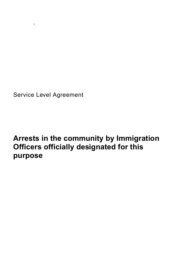Service Level Agreement

# **Arrests in the community by Immigration Officers officially designated for this purpose**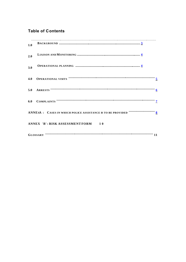# **Table of Contents**

|     | $\begin{minipage}[c]{0.9\linewidth} \begin{tabular}{l} \hline \textbf{0.01} \end{tabular} \end{minipage} \begin{minipage}[c]{0.9\linewidth} \begin{tabular}{l} \hline \textbf{0.01} \end{tabular} \end{minipage} \end{minipage} \begin{minipage}[c]{0.9\linewidth} \begin{tabular}{l} \hline \textbf{0.01} \end{tabular} \end{minipage} \end{minipage} \begin{minipage}[c]{0.9\linewidth} \begin{tabular}{l} \hline \textbf{0.01} \end{tabular} \end{minipage} \end{minipage} \begin{minipage}[$ |  |
|-----|--------------------------------------------------------------------------------------------------------------------------------------------------------------------------------------------------------------------------------------------------------------------------------------------------------------------------------------------------------------------------------------------------------------------------------------------------------------------------------------------------|--|
| 1.0 |                                                                                                                                                                                                                                                                                                                                                                                                                                                                                                  |  |
| 2.0 |                                                                                                                                                                                                                                                                                                                                                                                                                                                                                                  |  |
| 3.0 |                                                                                                                                                                                                                                                                                                                                                                                                                                                                                                  |  |
| 4.0 |                                                                                                                                                                                                                                                                                                                                                                                                                                                                                                  |  |
|     | 5.0 ARRESTS $\cdots$ $\cdots$ $\cdots$ $\cdots$ $\cdots$ $\cdots$ $\cdots$ $\cdots$ $\cdots$ $\cdots$ $\cdots$ $\cdots$ $\cdots$ $\cdots$ $\cdots$ $\cdots$ $\cdots$ $\cdots$ $\cdots$ $\cdots$ $\cdots$ $\cdots$ $\cdots$ $\cdots$                                                                                                                                                                                                                                                              |  |
|     |                                                                                                                                                                                                                                                                                                                                                                                                                                                                                                  |  |
|     |                                                                                                                                                                                                                                                                                                                                                                                                                                                                                                  |  |
|     | ANNEX 'B': RISK ASSESSMENT FORM 10                                                                                                                                                                                                                                                                                                                                                                                                                                                               |  |
|     |                                                                                                                                                                                                                                                                                                                                                                                                                                                                                                  |  |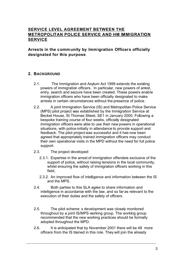# **SERVICE LEVEL AGREEMENT BETWEEN THE METROPOLITAN POLICE SERVICE AND HM IMMIGRATION SERVICE**

### **Arrests in the community by Immigration Officers officially designated for this purpose**

#### **2. BACKGROUND**

- 2.1. The Immigration and Asylum Act 1999 extends the existing powers of immigration officers. In particular, new powers of arrest, entry, search and seizure have been created. These powers enable immigration officers who have been officially designated to make arrests in certain circumstances without the presence of police.
- 2.2. A joint Immigration Service (IS) and Metropolitan Police Service (MPS) pilot project was established by the Immigration Service at Becket House, St Thomas Street, SE1 in January 2000. Following a bespoke training course of four weeks, officially designated immigration officers were able to use their new powers in operational situations, with police initially in attendance to provide support and feedback. The pilot project was successful and it has now been agreed that appropriately trained immigration officers may conduct their own operational visits in the MPD without the need for full police support.
- 2.3. The project developed:
	- 2.3.1. Expertise in the arrest of immigration offenders exclusive of the support of police, without raising tensions in the local community, whilst ensuring the safety of immigration officers working in this field,
	- 2.3.2. An improved flow of intelligence and information between the IS and the MPS.
- 2.4. Both parties to this SLA agree to share information and intelligence in accordance with the law, and so far as relevant to the execution of their duties and the safety of officers.
- 2.5. The pilot scheme s development was closely monitored throughout by a joint IS/MPS working group. The working group recommended that the new working practices should be formally adopted throughout the MPD.
- 2.6. It is anticipated that by November 2001 there will be 48 more officers from the IS trained in this role. They will join the already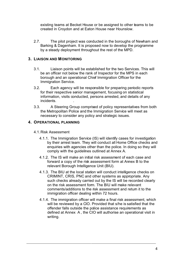existing teams at Becket House or be assigned to other teams to be created in Croydon and at Eaton House near Hounslow.

2.7. The pilot project was conducted in the boroughs of Newham and Barking & Dagenham. It is proposed now to develop the programme by a steady deployment throughout the rest of the MPD.

#### **3. LIAISON AND MONITORING**

- 3.1. Liaison points will be established for the two Services. This will be an officer not below the rank of Inspector for the MPS in each borough and an operational Chief Immigration Officer for the Immigration Service.
- 3.2. Each agency will be responsible for preparing periodic reports for their respective senior management, focusing on statistical information, visits conducted, persons arrested, and details of any incidents. .
- 3.3. A Steering Group comprised of policy representatives from both the Metropolitan Police and the Immigration Service will meet as necessary to consider any policy and strategic issues.

#### **4. OPERATIONAL PLANNING**

- 4.1.Risk Assessment
	- 4.1.1. The Immigration Service (IS) will identify cases for investigation by their arrest team. They will conduct all Home Office checks and enquiries with agencies other than the police. In doing so they will comply with the guidelines outlined at Annex A.
	- 4.1.2. The IS will make an initial risk assessment of each case and forward a copy of the risk assessment form at Annex B to the relevant Borough Intelligence Unit (BIU).
	- 4.1.3. The BIU at the local station will conduct intelligence checks on CRIMINT, CRIS, PNC and other systems as appropriate. Any such checks already carried out by the IS will be recorded clearly on the risk assessment form. The BIU will make relevant comments/additions to the risk assessment and return it to the immigration officer dealing within 72 hours.
	- 4.1.4. The immigration officer will make a final risk assessment, which will be reviewed by a CIO. Provided that s/he is satisfied that the offender falls outside the police assistance requirements as defined at Annex A , the CIO will authorise an operational visit in writing.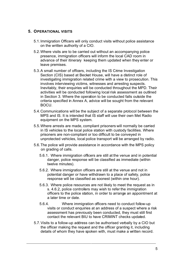#### **5. OPERATIONAL VISITS**

- 5.1.Immigration Officers will only conduct visits without police assistance on the written authority of a CIO.
- 5.2.Where visits are to be carried out without an accompanying police presence, immigration officers will inform the local CAD room in advance of their itinerary keeping them updated when they enter or leave premises.
- 5.3.A small number of officers, including the IS Crime Investigation Section (CIS) based at Becket House, will have a distinct role of investigating immigration related crime with a view to prosecution. This involves interviewing victims, witnesses and arresting suspects. Inevitably, their enquiries will be conducted throughout the MPD. Their activities will be conducted following local risk assessment as outlined in Section 3. Where the operation to be conducted falls outside the criteria specified in Annex A, advice will be sought from the relevant BOCU.
- 5.4.Communications will be the subject of a separate protocol between the MPS and IS. It is intended that IS staff will use their own Met Radio equipment on the MPS system.
- 5.5.Where arrests are made, compliant prisoners will normally be carried in IS vehicles to the local police station with custody facilities. Where prisoners are non-compliant or too difficult to be conveyed in unprotected vehicles, local police transport will be arranged by radio.
- 5.6.The police will provide assistance in accordance with the MPS policy on grading of calls.
	- 5.6.1. Where immigration officers are still at the venue and in potential danger, police response will be classified as immediate (within twelve minutes).
	- 5.6.2. Where immigration officers are still at the venue and not in potential danger or have withdrawn to a place of safety, police response will be classified as soonest (within one hour).
	- 5.6.3. Where police resources are not likely to meet the request as in s. 4.6.2, police controllers may wish to refer the immigration officers to the police station, in order to arrange an appointment at a later time or date.
	- 5.6.4. Where immigration officers need to conduct follow-up visits or conduct enquiries at an address of a suspect where a risk assessment has previously been conducted, they must still first contact the relevant BIU to have CRIMINT checks updated.
- 5.7.Visits to a follow-up address can be authorised verbally by a CIO but the officer making the request and the officer granting it, including details of whom they have spoken with, must make a written record.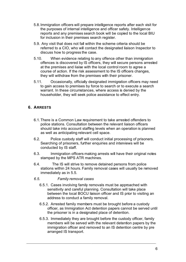- 5.8.Immigration officers will prepare intelligence reports after each visit for the purposes of internal intelligence and officer safety. Intelligence reports and any premises search book will be copied to the local BIU for inclusion in their premises search register.
- 5.9. Any visit that does not fall within the scheme criteria should be referred to a CIO, who will contact the designated liaison Inspector to discuss how to progress the case.
- 5.10. When evidence relating to any offence other than immigration offences is discovered by IS officers, they will secure persons arrested at the premises and liaise with the local control room to agree a course of action. If the risk assessment to the IS officers changes, they will withdraw from the premises with their prisoner.
- 5.11. Occasionally, officially designated immigration officers may need to gain access to premises by force to search or to execute a search warrant. In these circumstances, where access is denied by the householder, they will seek police assistance to effect entry.

# **6. ARRESTS**

- 6.1.There is a Common Law requirement to take arrested offenders to police stations. Consultation between the relevant liaison officers should take into account staffing levels when an operation is planned as well as anticipating relevant cell space.
- 6.2. Police custody staff will conduct initial processing of prisoners. Searching of prisoners, further enquiries and interviews will be conducted by IS staff.
- 6.3. Immigration officers making arrests will have their original notes stamped by the MPS ATR machines.
- 6.4. The IS will strive to remove detained persons from police stations within 24 hours. Family removal cases will usually be removed immediately as in 5.5.
- *6.5. Family removal cases*
	- 6.5.1. Cases involving family removals must be approached with sensitivity and careful planning. Consultation will take place between the local BOCU liaison officer and IS prior to visiting an address to conduct a family removal.
	- 6.5.2. Arrested family members must be brought before a custody officer, as Immigration Act detention papers cannot be served until the prisoner is in a designated place of detention.
	- 6.5.3. Immediately they are brought before the custody officer, family members will be served with the relevant detention papers by the immigration officer and removed to an IS detention centre by pre arranged IS transport.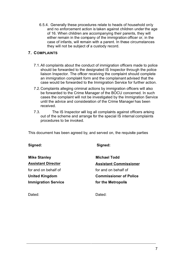6.5.4. Generally these procedures relate to heads of household only and no enforcement action is taken against children under the age of 16. When children are accompanying their parents, they will either remain in the company of the immigration officer or, in the case of infants, will remain with a parent. In these circumstances they will not be subject of a custody record.

#### **7. COMPLAINTS**

- 7.1.All complaints about the conduct of immigration officers made to police should be forwarded to the designated IS Inspector through the police liaison Inspector. The officer receiving the complaint should complete an immigration complaint form and the complainant advised that the case would be forwarded to the Immigration Service for further action.
- 7.2.Complaints alleging criminal actions by immigration officers will also be forwarded to the Crime Manager of the BOCU concerned. In such cases the complaint will not be investigated by the Immigration Service until the advice and consideration of the Crime Manager has been received.
- 7.3. The IS Inspector will log all complaints against officers arising out of the scheme and arrange for the special IS internal complaints procedures to be invoked.

This document has been agreed by, and served on, the requisite parties

**Signed: Signed: Mike Stanley Michael Todd Assistant Director Assistant Commissioner** for and on behalf of for and on behalf of **United Kingdom Commissioner of Police Immigration Service 6 and 19 and 19 and 19 and 19 and 19 and 19 and 19 and 19 and 19 and 19 and 19 and 19 and 19 and 19 and 19 and 19 and 19 and 19 and 19 and 19 and 19 and 19 and 19 and 19 and 19 and 19 and 19 and 19 and** 

Dated: **Dated:** Dated: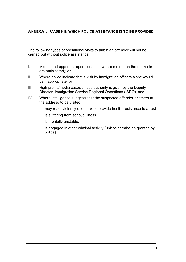#### **ANNEX A : CASES IN WHICH POLICE ASSISTANCE IS TO BE PROVIDED**

The following types of operational visits to arrest an offender will not be carried out without police assistance:

- I. Middle and upper tier operations (i.e. where more than three arrests are anticipated); or
- II. Where police indicate that a visit by immigration officers alone would be inappropriate; or
- III. High profile/media cases unless authority is given by the Deputy Director, Immigration Service Regional Operations (ISRO), and
- IV. Where intelligence suggests that the suspected offender or others at the address to be visited,
	- $\Box$  may react violently or otherwise provide hostile resistance to arrest,
	- $\Box$  is suffering from serious illness,
	- $\square$  is mentally unstable,
	- $\Box$  is engaged in other criminal activity (unless permission granted by police).